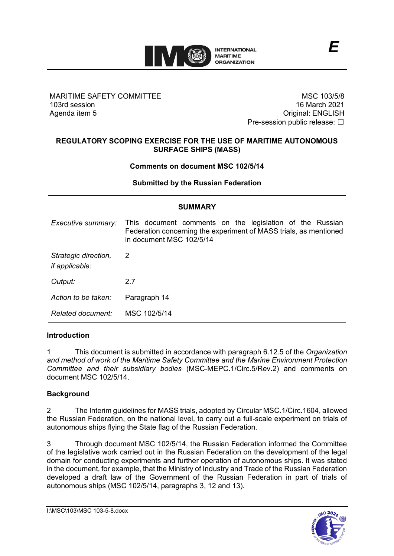

### MARITIME SAFETY COMMITTEE 103rd session Agenda item 5

MSC 103/5/8 16 March 2021 Original: ENGLISH Pre-session public release: □

*E*

### **REGULATORY SCOPING EXERCISE FOR THE USE OF MARITIME AUTONOMOUS SURFACE SHIPS (MASS)**

# **Comments on document MSC 102/5/14**

#### **Submitted by the Russian Federation**

| <b>SUMMARY</b>                         |                                                                                                                                                           |
|----------------------------------------|-----------------------------------------------------------------------------------------------------------------------------------------------------------|
| Executive summary:                     | This document comments on the legislation of the Russian<br>Federation concerning the experiment of MASS trials, as mentioned<br>in document MSC 102/5/14 |
| Strategic direction,<br>if applicable: | 2                                                                                                                                                         |
| Output:                                | 2.7                                                                                                                                                       |
| Action to be taken:                    | Paragraph 14                                                                                                                                              |
| Related document:                      | MSC 102/5/14                                                                                                                                              |

#### **Introduction**

1 This document is submitted in accordance with paragraph 6.12.5 of the *Organization and method of work of the Maritime Safety Committee and the Marine Environment Protection Committee and their subsidiary bodies* (MSC-MEPC.1/Circ.5/Rev.2) and comments on document MSC 102/5/14.

#### **Background**

2 The Interim guidelines for MASS trials, adopted by Circular MSC.1/Circ.1604, allowed the Russian Federation, on the national level, to carry out a full-scale experiment on trials of autonomous ships flying the State flag of the Russian Federation.

3 Through document MSC 102/5/14, the Russian Federation informed the Committee of the legislative work carried out in the Russian Federation on the development of the legal domain for conducting experiments and further operation of autonomous ships. It was stated in the document, for example, that the Ministry of Industry and Trade of the Russian Federation developed a draft law of the Government of the Russian Federation in part of trials of autonomous ships (MSC 102/5/14, paragraphs 3, 12 and 13).

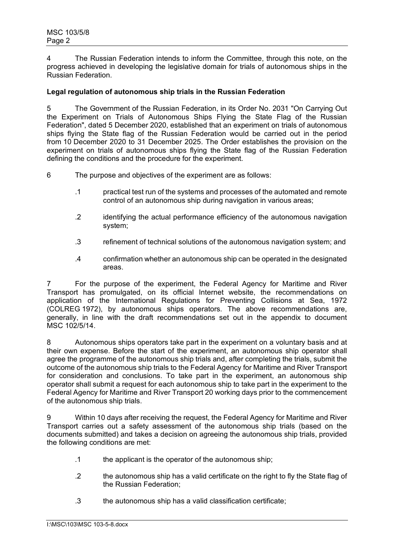4 The Russian Federation intends to inform the Committee, through this note, on the progress achieved in developing the legislative domain for trials of autonomous ships in the Russian Federation.

#### **Legal regulation of autonomous ship trials in the Russian Federation**

5 The Government of the Russian Federation, in its Order No. 2031 "On Carrying Out the Experiment on Trials of Autonomous Ships Flying the State Flag of the Russian Federation", dated 5 December 2020, established that an experiment on trials of autonomous ships flying the State flag of the Russian Federation would be carried out in the period from 10 December 2020 to 31 December 2025. The Order establishes the provision on the experiment on trials of autonomous ships flying the State flag of the Russian Federation defining the conditions and the procedure for the experiment.

6 The purpose and objectives of the experiment are as follows:

- .1 practical test run of the systems and processes of the automated and remote control of an autonomous ship during navigation in various areas;
- .2 identifying the actual performance efficiency of the autonomous navigation system;
- .3 refinement of technical solutions of the autonomous navigation system; and
- .4 confirmation whether an autonomous ship can be operated in the designated areas.

7 For the purpose of the experiment, the Federal Agency for Maritime and River Transport has promulgated, on its official Internet website, the recommendations on application of the International Regulations for Preventing Collisions at Sea, 1972 (COLREG 1972), by autonomous ships operators. The above recommendations are, generally, in line with the draft recommendations set out in the appendix to document MSC 102/5/14.

8 Autonomous ships operators take part in the experiment on a voluntary basis and at their own expense. Before the start of the experiment, an autonomous ship operator shall agree the programme of the autonomous ship trials and, after completing the trials, submit the outcome of the autonomous ship trials to the Federal Agency for Maritime and River Transport for consideration and conclusions. To take part in the experiment, an autonomous ship operator shall submit a request for each autonomous ship to take part in the experiment to the Federal Agency for Maritime and River Transport 20 working days prior to the commencement of the autonomous ship trials.

9 Within 10 days after receiving the request, the Federal Agency for Maritime and River Transport carries out a safety assessment of the autonomous ship trials (based on the documents submitted) and takes a decision on agreeing the autonomous ship trials, provided the following conditions are met:

- .1 the applicant is the operator of the autonomous ship;
- .2 the autonomous ship has a valid certificate on the right to fly the State flag of the Russian Federation;
- .3 the autonomous ship has a valid classification certificate;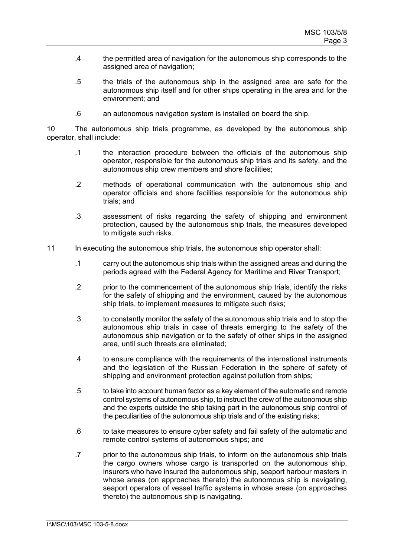- .4 the permitted area of navigation for the autonomous ship corresponds to the assigned area of navigation;
- .5 the trials of the autonomous ship in the assigned area are safe for the autonomous ship itself and for other ships operating in the area and for the environment; and
- .6 an autonomous navigation system is installed on board the ship.

10 The autonomous ship trials programme, as developed by the autonomous ship operator, shall include:

- .1 the interaction procedure between the officials of the autonomous ship operator, responsible for the autonomous ship trials and its safety, and the autonomous ship crew members and shore facilities;
- .2 methods of operational communication with the autonomous ship and operator officials and shore facilities responsible for the autonomous ship trials; and
- .3 assessment of risks regarding the safety of shipping and environment protection, caused by the autonomous ship trials, the measures developed to mitigate such risks.
- 11 In executing the autonomous ship trials, the autonomous ship operator shall:
	- .1 carry out the autonomous ship trials within the assigned areas and during the periods agreed with the Federal Agency for Maritime and River Transport;
	- .2 prior to the commencement of the autonomous ship trials, identify the risks for the safety of shipping and the environment, caused by the autonomous ship trials, to implement measures to mitigate such risks;
	- .3 to constantly monitor the safety of the autonomous ship trials and to stop the autonomous ship trials in case of threats emerging to the safety of the autonomous ship navigation or to the safety of other ships in the assigned area, until such threats are eliminated;
	- .4 to ensure compliance with the requirements of the international instruments and the legislation of the Russian Federation in the sphere of safety of shipping and environment protection against pollution from ships;
	- .5 to take into account human factor as a key element of the automatic and remote control systems of autonomous ship, to instruct the crew of the autonomous ship and the experts outside the ship taking part in the autonomous ship control of the peculiarities of the autonomous ship trials and of the existing risks;
	- .6 to take measures to ensure cyber safety and fail safety of the automatic and remote control systems of autonomous ships; and
	- .7 prior to the autonomous ship trials, to inform on the autonomous ship trials the cargo owners whose cargo is transported on the autonomous ship, insurers who have insured the autonomous ship, seaport harbour masters in whose areas (on approaches thereto) the autonomous ship is navigating, seaport operators of vessel traffic systems in whose areas (on approaches thereto) the autonomous ship is navigating.